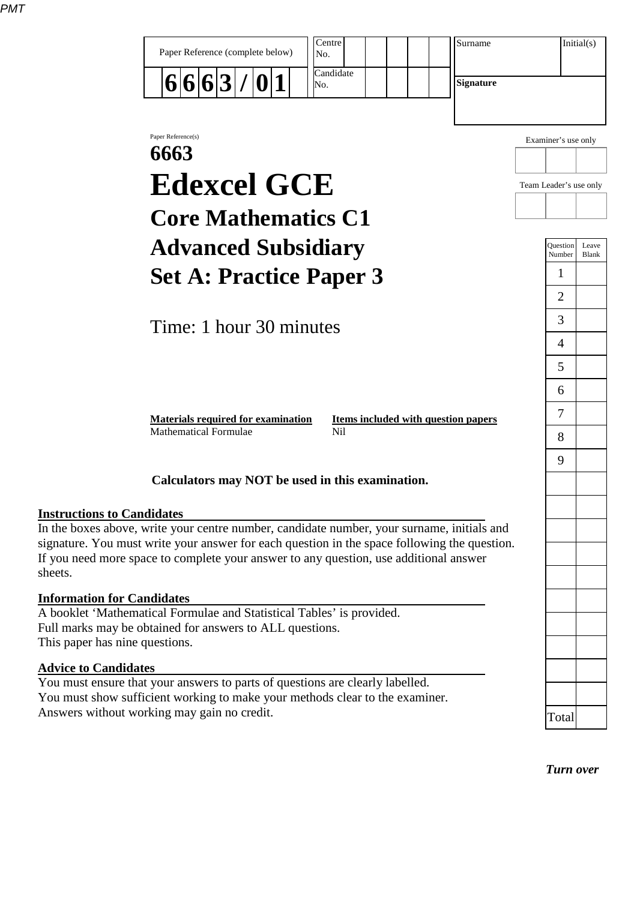|                                   | Centre<br>Surname<br>Paper Reference (complete below)<br>No.                                                                                                                                                                                                                        |                           | Initial(s)     |
|-----------------------------------|-------------------------------------------------------------------------------------------------------------------------------------------------------------------------------------------------------------------------------------------------------------------------------------|---------------------------|----------------|
|                                   | Candidate<br>6 6 6 3 / 0 1<br><b>Signature</b><br>No.                                                                                                                                                                                                                               |                           |                |
|                                   | Paper Reference(s)<br>6663                                                                                                                                                                                                                                                          | Examiner's use only       |                |
|                                   | <b>Edexcel GCE</b>                                                                                                                                                                                                                                                                  | Team Leader's use only    |                |
|                                   | <b>Core Mathematics C1</b>                                                                                                                                                                                                                                                          |                           |                |
|                                   | <b>Advanced Subsidiary</b>                                                                                                                                                                                                                                                          | <b>Ouestion</b><br>Number | Leave<br>Blank |
|                                   | <b>Set A: Practice Paper 3</b>                                                                                                                                                                                                                                                      | 1                         |                |
|                                   |                                                                                                                                                                                                                                                                                     | 2                         |                |
|                                   | Time: 1 hour 30 minutes                                                                                                                                                                                                                                                             | 3                         |                |
|                                   |                                                                                                                                                                                                                                                                                     | 4<br>5                    |                |
|                                   |                                                                                                                                                                                                                                                                                     | 6                         |                |
|                                   | Items included with question papers<br><b>Materials required for examination</b>                                                                                                                                                                                                    | 7                         |                |
|                                   | <b>Mathematical Formulae</b><br>N <sub>i</sub> l                                                                                                                                                                                                                                    | 8                         |                |
|                                   |                                                                                                                                                                                                                                                                                     | 9                         |                |
|                                   | Calculators may NOT be used in this examination.                                                                                                                                                                                                                                    |                           |                |
| <b>Instructions to Candidates</b> |                                                                                                                                                                                                                                                                                     |                           |                |
| sheets.                           | In the boxes above, write your centre number, candidate number, your surname, initials and<br>signature. You must write your answer for each question in the space following the question.<br>If you need more space to complete your answer to any question, use additional answer |                           |                |
| <b>Information for Candidates</b> | A booklet 'Mathematical Formulae and Statistical Tables' is provided.<br>Full marks may be obtained for answers to ALL questions.                                                                                                                                                   |                           |                |
| This paper has nine questions.    |                                                                                                                                                                                                                                                                                     |                           |                |
| <b>Advice to Candidates</b>       | You must ensure that your answers to parts of questions are clearly labelled.<br>You must show sufficient working to make your methods clear to the examiner.                                                                                                                       |                           |                |
|                                   | Answers without working may gain no credit.                                                                                                                                                                                                                                         | Total                     |                |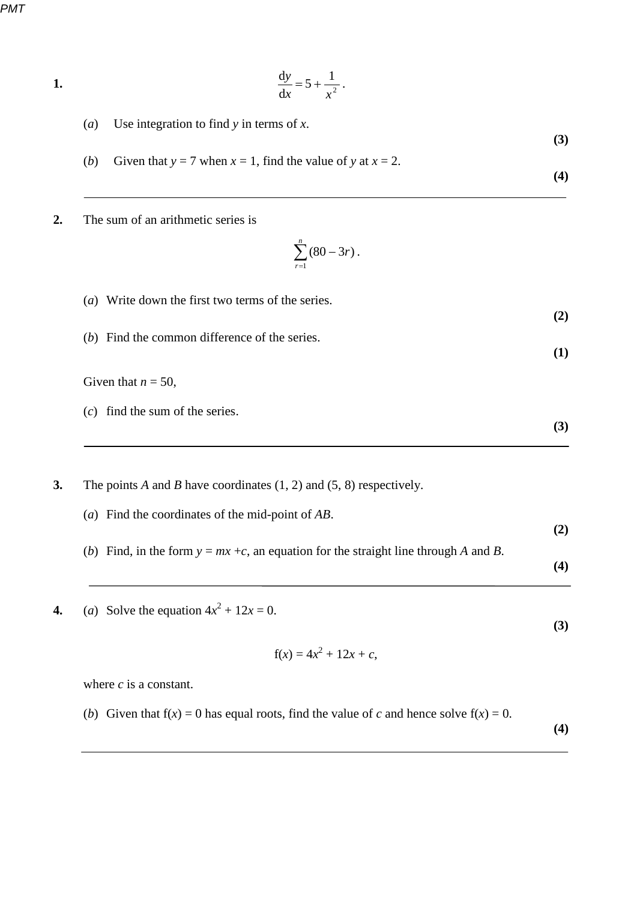*PMT*

- **1.**  $\frac{dy}{dx} = 5 + \frac{1}{x^2}$ d d *x x*  $\frac{y}{z} = 5 + \frac{1}{z}$ .
	- (*a*) Use integration to find *y* in terms of *x*.
	- **(3)** (*b*) Given that  $y = 7$  when  $x = 1$ , find the value of y at  $x = 2$ . **(4)**
- **2.** The sum of an arithmetic series is

$$
\sum_{r=1}^n (80 - 3r).
$$

**(2)**

(*a*) Write down the first two terms of the series.

(*b*) Find the common difference of the series.

Given that  $n = 50$ ,

- (*c*) find the sum of the series.
- **3.** The points *A* and *B* have coordinates (1, 2) and (5, 8) respectively.
	- (*a*) Find the coordinates of the mid-point of *AB*. **(2)** (*b*) Find, in the form  $y = mx + c$ , an equation for the straight line through *A* and *B*. **(4)**
- **4.** (*a*) Solve the equation  $4x^2 + 12x = 0$ .

$$
f(x) = 4x^2 + 12x + c,
$$

**(3)**

where *c* is a constant.

(*b*) Given that  $f(x) = 0$  has equal roots, find the value of *c* and hence solve  $f(x) = 0$ .

**(4)** 

**(1)**

**(3)**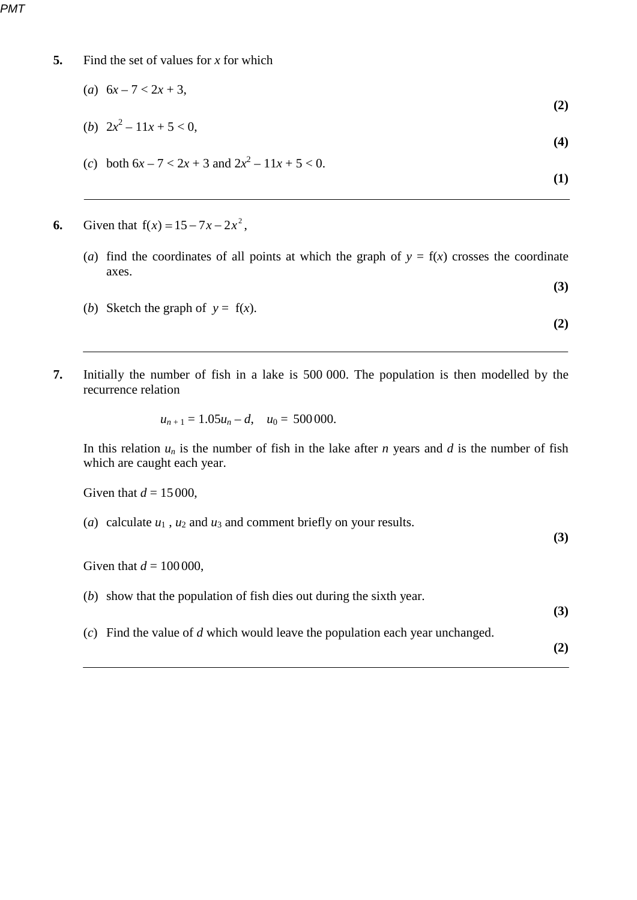- **5.** Find the set of values for *x* for which
	- (*a*)  $6x 7 < 2x + 3$ , **(2)**

(b) 
$$
2x^2 - 11x + 5 < 0
$$
, (4)

(*c*) both  $6x - 7 < 2x + 3$  and  $2x^2 - 11x + 5 < 0$ .

 $\bf (1)$ 

- **6.** Given that  $f(x) = 15 7x 2x^2$ ,
	- (*a*) find the coordinates of all points at which the graph of  $y = f(x)$  crosses the coordinate axes. **(3)**

**(2)**

- (*b*) Sketch the graph of  $y = f(x)$ .
- **7.** Initially the number of fish in a lake is 500 000. The population is then modelled by the recurrence relation

$$
u_{n+1}=1.05u_n-d, \quad u_0=500000.
$$

In this relation  $u_n$  is the number of fish in the lake after *n* years and *d* is the number of fish which are caught each year.

Given that  $d = 15000$ ,

(*a*) calculate  $u_1$ ,  $u_2$  and  $u_3$  and comment briefly on your results. **(3)**

Given that  $d = 100000$ ,

| $(b)$ show that the population of fish dies out during the sixth year.          | (3) |
|---------------------------------------------------------------------------------|-----|
| $(c)$ Find the value of d which would leave the population each year unchanged. | (2) |